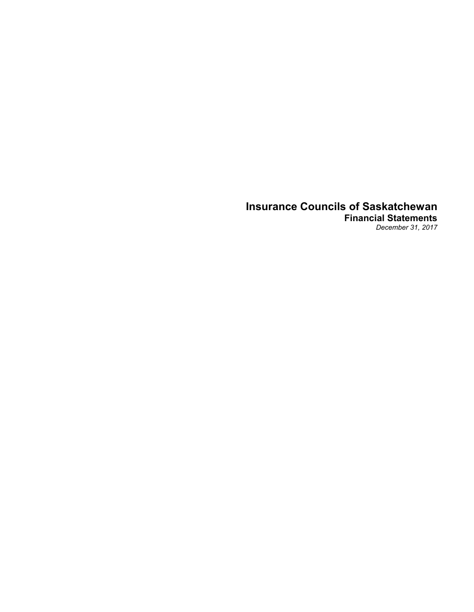# **Insurance Councils of Saskatchewan Financial Statements**

*December 31, 2017*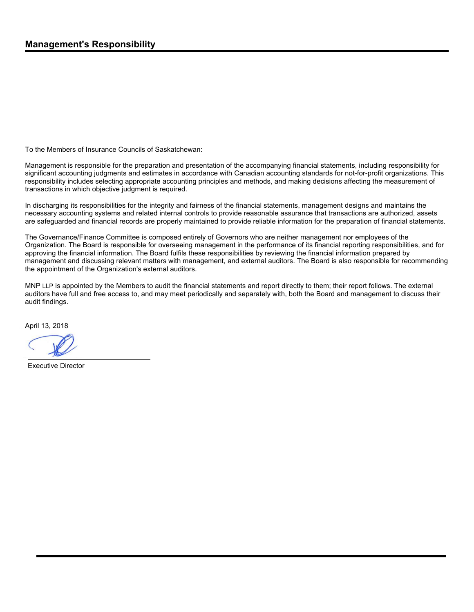To the Members of Insurance Councils of Saskatchewan:

Management is responsible for the preparation and presentation of the accompanying financial statements, including responsibility for significant accounting judgments and estimates in accordance with Canadian accounting standards for not-for-profit organizations. This responsibility includes selecting appropriate accounting principles and methods, and making decisions affecting the measurement of transactions in which objective judgment is required.

In discharging its responsibilities for the integrity and fairness of the financial statements, management designs and maintains the necessary accounting systems and related internal controls to provide reasonable assurance that transactions are authorized, assets are safeguarded and financial records are properly maintained to provide reliable information for the preparation of financial statements.

The Governance/Finance Committee is composed entirely of Governors who are neither management nor employees of the Organization. The Board is responsible for overseeing management in the performance of its financial reporting responsibilities, and for approving the financial information. The Board fulfils these responsibilities by reviewing the financial information prepared by management and discussing relevant matters with management, and external auditors. The Board is also responsible for recommending the appointment of the Organization's external auditors.

MNP LLP is appointed by the Members to audit the financial statements and report directly to them; their report follows. The external auditors have full and free access to, and may meet periodically and separately with, both the Board and management to discuss their audit findings.

April 13, 2018

Executive Director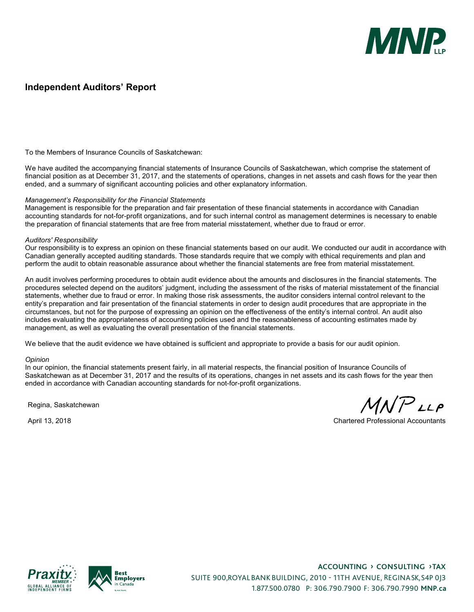

### **Independent Auditors' Report**

To the Members of Insurance Councils of Saskatchewan:

We have audited the accompanying financial statements of Insurance Councils of Saskatchewan, which comprise the statement of financial position as at December 31, 2017, and the statements of operations, changes in net assets and cash flows for the year then ended, and a summary of significant accounting policies and other explanatory information.

#### *Management's Responsibility for the Financial Statements*

Management is responsible for the preparation and fair presentation of these financial statements in accordance with Canadian accounting standards for not-for-profit organizations, and for such internal control as management determines is necessary to enable the preparation of financial statements that are free from material misstatement, whether due to fraud or error.

#### *Auditors' Responsibility*

Our responsibility is to express an opinion on these financial statements based on our audit. We conducted our audit in accordance with Canadian generally accepted auditing standards. Those standards require that we comply with ethical requirements and plan and perform the audit to obtain reasonable assurance about whether the financial statements are free from material misstatement.

An audit involves performing procedures to obtain audit evidence about the amounts and disclosures in the financial statements. The procedures selected depend on the auditors' judgment, including the assessment of the risks of material misstatement of the financial statements, whether due to fraud or error. In making those risk assessments, the auditor considers internal control relevant to the entity's preparation and fair presentation of the financial statements in order to design audit procedures that are appropriate in the circumstances, but not for the purpose of expressing an opinion on the effectiveness of the entity's internal control. An audit also includes evaluating the appropriateness of accounting policies used and the reasonableness of accounting estimates made by management, as well as evaluating the overall presentation of the financial statements.

We believe that the audit evidence we have obtained is sufficient and appropriate to provide a basis for our audit opinion.

#### *Opinion*

In our opinion, the financial statements present fairly, in all material respects, the financial position of Insurance Councils of Saskatchewan as at December 31, 2017 and the results of its operations, changes in net assets and its cash flows for the year then ended in accordance with Canadian accounting standards for not-for-profit organizations.

Regina, Saskatchewan

 $MNP$ LLP

April 13, 2018 Chartered Professional Accountants





**Accounting › Consulting › Tax** SUITE 900, ROYAL BANK BUILDING, 2010 - 11TH AVENUE, REGINA SK, S4P 0J3 1.877.500.0780 P: 306.790.7900 F: 306.790.7990 **MNP.ca**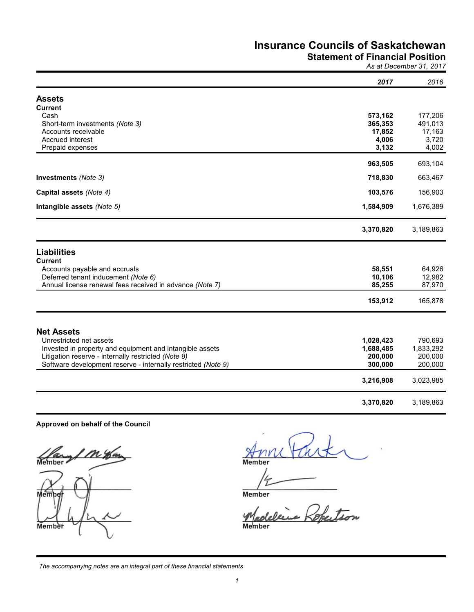### **Statement of Financial Position**

*As at December 31, 2017*

|                                                                                     | 2017                   | 2016                 |
|-------------------------------------------------------------------------------------|------------------------|----------------------|
| <b>Assets</b>                                                                       |                        |                      |
| <b>Current</b><br>Cash                                                              | 573,162                | 177,206              |
| Short-term investments (Note 3)                                                     | 365,353                | 491,013              |
| Accounts receivable<br>Accrued interest                                             | 17,852<br>4,006        | 17,163<br>3,720      |
| Prepaid expenses                                                                    | 3,132                  | 4,002                |
|                                                                                     | 963,505                | 693,104              |
| Investments (Note 3)                                                                | 718,830                | 663,467              |
| Capital assets (Note 4)                                                             | 103,576                | 156,903              |
| Intangible assets (Note 5)                                                          | 1,584,909              | 1,676,389            |
|                                                                                     | 3,370,820              | 3,189,863            |
| <b>Liabilities</b>                                                                  |                        |                      |
| <b>Current</b>                                                                      |                        |                      |
| Accounts payable and accruals<br>Deferred tenant inducement (Note 6)                | 58,551<br>10,106       | 64,926<br>12,982     |
| Annual license renewal fees received in advance (Note 7)                            | 85,255                 | 87,970               |
|                                                                                     | 153,912                | 165,878              |
|                                                                                     |                        |                      |
| <b>Net Assets</b>                                                                   |                        |                      |
| Unrestricted net assets<br>Invested in property and equipment and intangible assets | 1,028,423<br>1,688,485 | 790,693<br>1,833,292 |
| Litigation reserve - internally restricted (Note 8)                                 | 200,000                | 200,000              |
| Software development reserve - internally restricted (Note 9)                       | 300,000                | 200,000              |
|                                                                                     | 3,216,908              | 3,023,985            |
|                                                                                     | 3,370,820              | 3,189,863            |

#### **Approved on behalf of the Council**

1 M Har برد Member Membe Member

**Member** 

**Member** 

Robertson  $\mathscr{P}$ 

Member

*The accompanying notes are an integral part of these financial statements*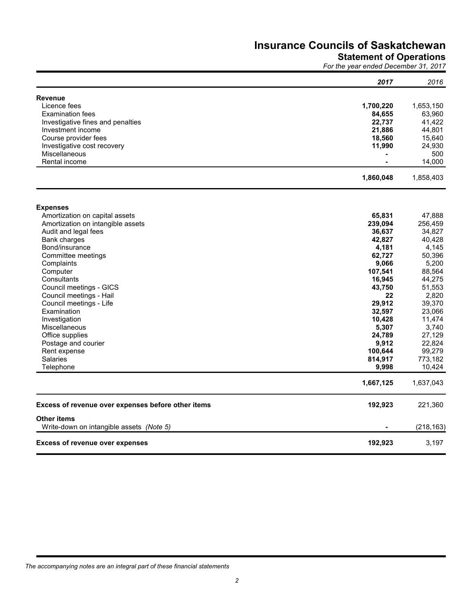#### **Statement of Operations**

*For the year ended December 31, 2017*

|                                                    | 2017      | 2016       |
|----------------------------------------------------|-----------|------------|
| <b>Revenue</b>                                     |           |            |
| Licence fees                                       | 1,700,220 | 1,653,150  |
| <b>Examination fees</b>                            | 84,655    | 63,960     |
| Investigative fines and penalties                  | 22,737    | 41,422     |
| Investment income                                  | 21,886    | 44,801     |
| Course provider fees                               | 18,560    | 15,640     |
| Investigative cost recovery                        | 11,990    | 24,930     |
| Miscellaneous                                      |           | 500        |
| Rental income                                      |           | 14,000     |
|                                                    | 1,860,048 | 1,858,403  |
|                                                    |           |            |
| <b>Expenses</b><br>Amortization on capital assets  | 65,831    | 47,888     |
| Amortization on intangible assets                  | 239,094   | 256,459    |
| Audit and legal fees                               | 36,637    | 34,827     |
| <b>Bank charges</b>                                | 42,827    | 40,428     |
| Bond/insurance                                     | 4,181     | 4,145      |
| Committee meetings                                 | 62,727    | 50,396     |
| Complaints                                         | 9,066     | 5,200      |
| Computer                                           | 107,541   | 88,564     |
| Consultants                                        | 16,945    | 44,275     |
| Council meetings - GICS                            | 43,750    | 51,553     |
| Council meetings - Hail                            | 22        | 2,820      |
| Council meetings - Life                            | 29,912    | 39,370     |
| Examination                                        | 32,597    | 23,066     |
| Investigation                                      | 10,428    | 11,474     |
| <b>Miscellaneous</b>                               | 5,307     | 3,740      |
| Office supplies                                    | 24,789    | 27,129     |
| Postage and courier                                | 9,912     | 22,824     |
| Rent expense                                       | 100,644   | 99,279     |
| <b>Salaries</b>                                    | 814,917   | 773,182    |
| Telephone                                          | 9,998     | 10,424     |
|                                                    | 1,667,125 | 1,637,043  |
| Excess of revenue over expenses before other items | 192,923   | 221,360    |
| <b>Other items</b>                                 |           |            |
| Write-down on intangible assets (Note 5)           |           | (218, 163) |
| <b>Excess of revenue over expenses</b>             | 192,923   | 3,197      |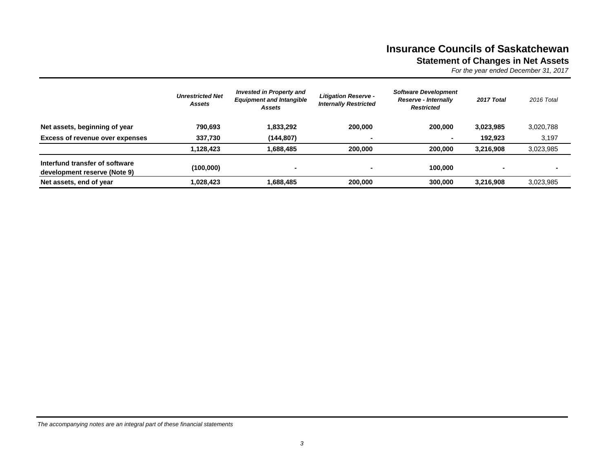## **Insurance Councils of Saskatchewan Statement of Changes in Net Assets**

*For the year ended December 31, 2017*

|                                                                | <b>Unrestricted Net</b><br>Assets | <b>Invested in Property and</b><br><b>Equipment and Intangible</b><br>Assets | <b>Litigation Reserve -</b><br><b>Internally Restricted</b> | <b>Software Development</b><br><b>Reserve - Internally</b><br><b>Restricted</b> | 2017 Total | 2016 Total     |
|----------------------------------------------------------------|-----------------------------------|------------------------------------------------------------------------------|-------------------------------------------------------------|---------------------------------------------------------------------------------|------------|----------------|
| Net assets, beginning of year                                  | 790.693                           | 1,833,292                                                                    | 200,000                                                     | 200.000                                                                         | 3,023,985  | 3,020,788      |
| <b>Excess of revenue over expenses</b>                         | 337,730                           | (144, 807)                                                                   |                                                             |                                                                                 | 192.923    | 3,197          |
|                                                                | 1,128,423                         | 1,688,485                                                                    | 200,000                                                     | 200,000                                                                         | 3.216.908  | 3,023,985      |
| Interfund transfer of software<br>development reserve (Note 9) | (100,000)                         | $\blacksquare$                                                               | ۰                                                           | 100.000                                                                         |            | $\blacksquare$ |
| Net assets, end of year                                        | 1,028,423                         | 1,688,485                                                                    | 200,000                                                     | 300,000                                                                         | 3.216.908  | 3,023,985      |

*The accompanying notes are an integral part of these financial statements*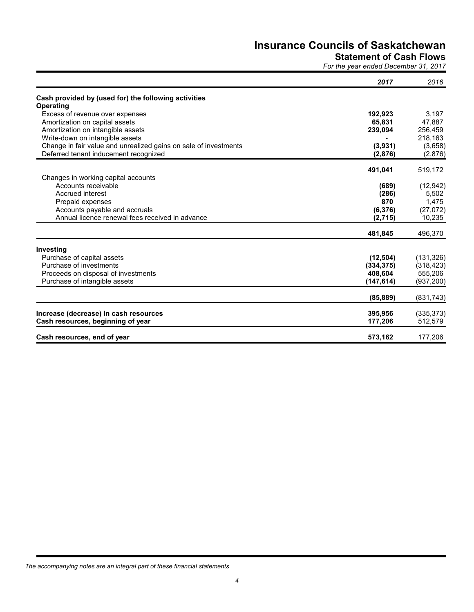### **Statement of Cash Flows**

*For the year ended December 31, 2017*

|                                                                            | 2017       | 2016                  |
|----------------------------------------------------------------------------|------------|-----------------------|
| Cash provided by (used for) the following activities                       |            |                       |
| Operating                                                                  |            |                       |
| Excess of revenue over expenses                                            | 192,923    | 3,197                 |
| Amortization on capital assets                                             | 65,831     | 47,887                |
| Amortization on intangible assets                                          | 239,094    | 256,459               |
| Write-down on intangible assets                                            |            | 218,163               |
| Change in fair value and unrealized gains on sale of investments           | (3,931)    | (3,658)               |
| Deferred tenant inducement recognized                                      | (2,876)    | (2,876)               |
|                                                                            | 491,041    | 519,172               |
| Changes in working capital accounts                                        |            |                       |
| Accounts receivable                                                        | (689)      | (12, 942)             |
| Accrued interest                                                           | (286)      | 5,502                 |
| Prepaid expenses                                                           | 870        | 1,475                 |
| Accounts payable and accruals                                              | (6, 376)   | (27,072)              |
| Annual licence renewal fees received in advance                            | (2,715)    | 10,235                |
|                                                                            | 481,845    | 496,370               |
| Investing                                                                  |            |                       |
| Purchase of capital assets                                                 | (12, 504)  | (131, 326)            |
| Purchase of investments                                                    | (334, 375) | (318, 423)            |
| Proceeds on disposal of investments                                        | 408,604    | 555,206               |
| Purchase of intangible assets                                              | (147, 614) | (937,200)             |
|                                                                            | (85, 889)  | (831,743)             |
|                                                                            | 395,956    |                       |
| Increase (decrease) in cash resources<br>Cash resources, beginning of year | 177,206    | (335, 373)<br>512,579 |
| Cash resources, end of year                                                | 573,162    | 177,206               |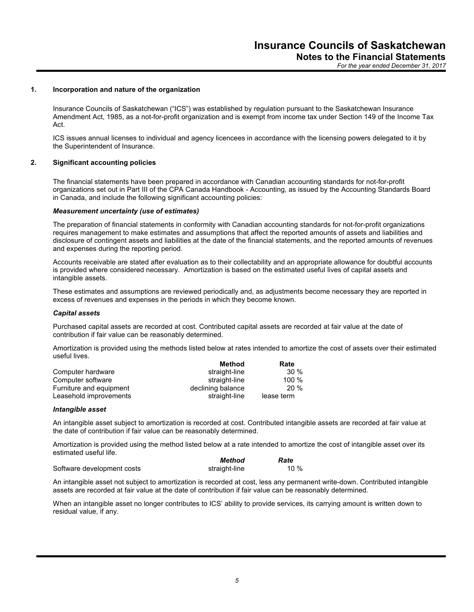*For the year ended December 31, 2017*

#### **1. Incorporation and nature of the organization**

Insurance Councils of Saskatchewan ("ICS") was established by regulation pursuant to the Saskatchewan Insurance Amendment Act, 1985, as a not-for-profit organization and is exempt from income tax under Section 149 of the Income Tax Act.

ICS issues annual licenses to individual and agency licencees in accordance with the licensing powers delegated to it by the Superintendent of Insurance.

#### **2. Significant accounting policies**

The financial statements have been prepared in accordance with Canadian accounting standards for not-for-profit organizations set out in Part III of the CPA Canada Handbook - Accounting, as issued by the Accounting Standards Board in Canada, and include the following significant accounting policies:

#### *Measurement uncertainty (use of estimates)*

The preparation of financial statements in conformity with Canadian accounting standards for not-for-profit organizations requires management to make estimates and assumptions that affect the reported amounts of assets and liabilities and disclosure of contingent assets and liabilities at the date of the financial statements, and the reported amounts of revenues and expenses during the reporting period.

Accounts receivable are stated after evaluation as to their collectability and an appropriate allowance for doubtful accounts is provided where considered necessary. Amortization is based on the estimated useful lives of capital assets and intangible assets.

These estimates and assumptions are reviewed periodically and, as adjustments become necessary they are reported in excess of revenues and expenses in the periods in which they become known.

#### *Capital assets*

Purchased capital assets are recorded at cost. Contributed capital assets are recorded at fair value at the date of contribution if fair value can be reasonably determined.

Amortization is provided using the methods listed below at rates intended to amortize the cost of assets over their estimated useful lives.

|                         | Method            | Rate       |
|-------------------------|-------------------|------------|
| Computer hardware       | straight-line     | $30\%$     |
| Computer software       | straight-line     | $100 \%$   |
| Furniture and equipment | declining balance | 20%        |
| Leasehold improvements  | straight-line     | lease term |

#### *Intangible asset*

An intangible asset subject to amortization is recorded at cost. Contributed intangible assets are recorded at fair value at the date of contribution if fair value can be reasonably determined.

Amortization is provided using the method listed below at a rate intended to amortize the cost of intangible asset over its estimated useful life.

|                            | Method        | Rate |
|----------------------------|---------------|------|
| Software development costs | straight-line | 10 % |

An intangible asset not subject to amortization is recorded at cost, less any permanent write-down. Contributed intangible assets are recorded at fair value at the date of contribution if fair value can be reasonably determined.

When an intangible asset no longer contributes to ICS' ability to provide services, its carrying amount is written down to residual value, if any.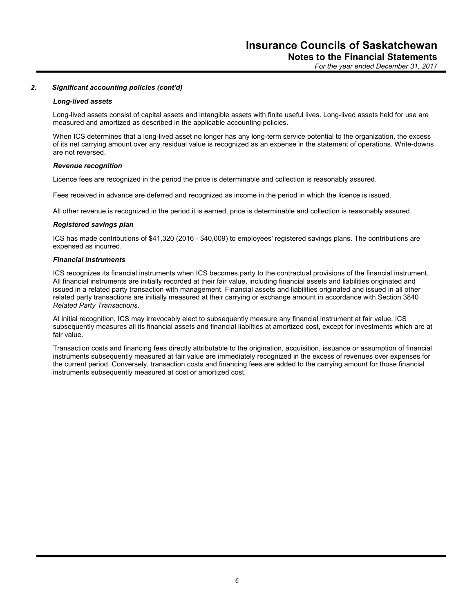*For the year ended December 31, 2017*

#### *2. Significant accounting policies (cont'd)*

#### *Long-lived assets*

Long-lived assets consist of capital assets and intangible assets with finite useful lives. Long-lived assets held for use are measured and amortized as described in the applicable accounting policies.

When ICS determines that a long-lived asset no longer has any long-term service potential to the organization, the excess of its net carrying amount over any residual value is recognized as an expense in the statement of operations. Write-downs are not reversed.

#### *Revenue recognition*

Licence fees are recognized in the period the price is determinable and collection is reasonably assured.

Fees received in advance are deferred and recognized as income in the period in which the licence is issued.

All other revenue is recognized in the period it is earned, price is determinable and collection is reasonably assured.

#### *Registered savings plan*

ICS has made contributions of \$41,320 (2016 - \$40,009) to employees' registered savings plans. The contributions are expensed as incurred.

#### *Financial instruments*

ICS recognizes its financial instruments when ICS becomes party to the contractual provisions of the financial instrument. All financial instruments are initially recorded at their fair value, including financial assets and liabilities originated and issued in a related party transaction with management. Financial assets and liabilities originated and issued in all other related party transactions are initially measured at their carrying or exchange amount in accordance with Section 3840 *Related Party Transactions*.

At initial recognition, ICS may irrevocably elect to subsequently measure any financial instrument at fair value. ICS subsequently measures all its financial assets and financial liabilties at amortized cost, except for investments which are at fair value.

Transaction costs and financing fees directly attributable to the origination, acquisition, issuance or assumption of financial instruments subsequently measured at fair value are immediately recognized in the excess of revenues over expenses for the current period. Conversely, transaction costs and financing fees are added to the carrying amount for those financial instruments subsequently measured at cost or amortized cost.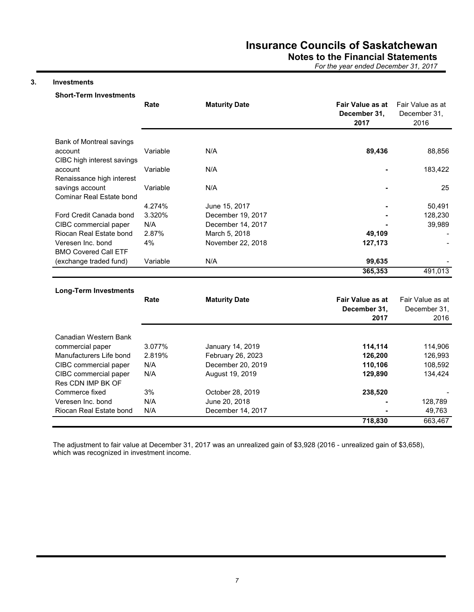**Notes to the Financial Statements**

*For the year ended December 31, 2017*

### **3. Investments**

|                                             | Rate     | <b>Maturity Date</b> | <b>Fair Value as at</b><br>December 31,<br>2017 | Fair Value as at<br>December 31,<br>2016 |
|---------------------------------------------|----------|----------------------|-------------------------------------------------|------------------------------------------|
| Bank of Montreal savings                    |          |                      |                                                 |                                          |
| account<br>CIBC high interest savings       | Variable | N/A                  | 89,436                                          | 88,856                                   |
| account<br>Renaissance high interest        | Variable | N/A                  |                                                 | 183,422                                  |
| savings account<br>Cominar Real Estate bond | Variable | N/A                  |                                                 | 25                                       |
|                                             | 4.274%   | June 15, 2017        |                                                 | 50,491                                   |
| Ford Credit Canada bond                     | 3.320%   | December 19, 2017    |                                                 | 128,230                                  |
| CIBC commercial paper                       | N/A      | December 14, 2017    |                                                 | 39,989                                   |
| Riocan Real Estate bond                     | 2.87%    | March 5, 2018        | 49,109                                          |                                          |
| Veresen Inc. bond                           | 4%       | November 22, 2018    | 127,173                                         |                                          |
| <b>BMO Covered Call ETF</b>                 |          |                      |                                                 |                                          |
| (exchange traded fund)                      | Variable | N/A                  | 99,635                                          |                                          |
|                                             |          |                      | 365,353                                         | 491,013                                  |
|                                             |          |                      |                                                 |                                          |
| <b>Long-Term Investments</b>                |          |                      | Fair Value as at                                |                                          |
|                                             | Rate     | <b>Maturity Date</b> |                                                 | Fair Value as at                         |
|                                             |          |                      | December 31,<br>2017                            | December 31,<br>2016                     |
|                                             |          |                      |                                                 |                                          |
| Canadian Western Bank                       |          |                      |                                                 |                                          |
| commercial paper                            | 3.077%   | January 14, 2019     | 114,114                                         | 114,906                                  |
| Manufacturers Life bond                     | 2.819%   | February 26, 2023    | 126,200                                         | 126,993                                  |
| CIBC commercial paper                       | N/A      | December 20, 2019    | 110,106                                         | 108,592                                  |
| CIBC commercial paper                       | N/A      | August 19, 2019      | 129,890                                         | 134,424                                  |
| Res CDN IMP BK OF                           |          |                      |                                                 |                                          |
| Commerce fixed                              | 3%       | October 28, 2019     | 238,520                                         |                                          |
| Veresen Inc. bond                           | N/A      | June 20, 2018        |                                                 | 128,789                                  |
| Riocan Real Estate bond                     | N/A      | December 14, 2017    |                                                 | 49,763                                   |
|                                             |          |                      | 718,830                                         | 663,467                                  |

The adjustment to fair value at December 31, 2017 was an unrealized gain of \$3,928 (2016 - unrealized gain of \$3,658), which was recognized in investment income.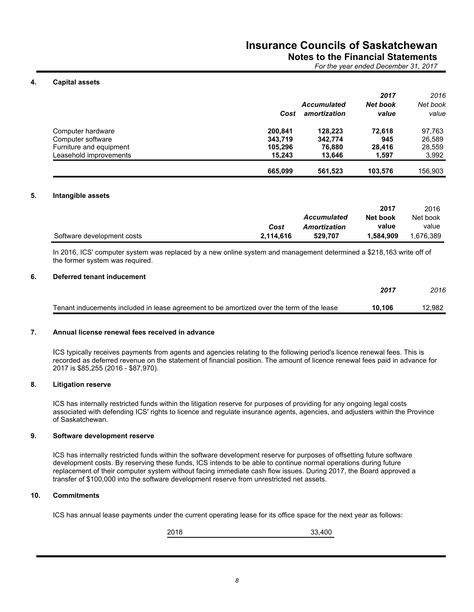## **Notes to the Financial Statements**

*For the year ended December 31, 2017*

#### **4. Capital assets**

|                         |         |                    | 2017            | 2016     |
|-------------------------|---------|--------------------|-----------------|----------|
|                         |         | <b>Accumulated</b> | <b>Net book</b> | Net book |
|                         | Cost    | amortization       | value           | value    |
| Computer hardware       | 200.841 | 128.223            | 72.618          | 97.763   |
| Computer software       | 343.719 | 342.774            | 945             | 26.589   |
| Furniture and equipment | 105.296 | 76.880             | 28,416          | 28.559   |
| Leasehold improvements  | 15.243  | 13.646             | 1.597           | 3,992    |
|                         | 665.099 | 561.523            | 103.576         | 156.903  |

#### **5. Intangible assets**

|                            |           |                    | 2017      | 2016      |
|----------------------------|-----------|--------------------|-----------|-----------|
|                            |           | <b>Accumulated</b> | Net book  | Net book  |
|                            | Cost      | Amortization       | value     | value     |
| Software development costs | 2,114,616 | 529.707            | 909.584 ا | 1.676.389 |

In 2016, ICS' computer system was replaced by a new online system and management determined a \$218,163 write off of the former system was required.

#### **6. Deferred tenant inducement**

|                                                                                           | 2017   | 2016   |
|-------------------------------------------------------------------------------------------|--------|--------|
| Tenant inducements included in lease agreement to be amortized over the term of the lease | 10.106 | 12.982 |

#### **7. Annual license renewal fees received in advance**

ICS typically receives payments from agents and agencies relating to the following period's licence renewal fees. This is recorded as deferred revenue on the statement of financial position. The amount of licence renewal fees paid in advance for 2017 is \$85,255 (2016 - \$87,970).

#### **8. Litigation reserve**

ICS has internally restricted funds within the litigation reserve for purposes of providing for any ongoing legal costs associated with defending ICS' rights to licence and regulate insurance agents, agencies, and adjusters within the Province of Saskatchewan.

#### **9. Software development reserve**

ICS has internally restricted funds within the software development reserve for purposes of offsetting future software development costs. By reserving these funds, ICS intends to be able to continue normal operations during future replacement of their computer system without facing immediate cash flow issues. During 2017, the Board approved a transfer of \$100,000 into the software development reserve from unrestricted net assets.

#### **10. Commitments**

ICS has annual lease payments under the current operating lease for its office space for the next year as follows:

2018 33,400